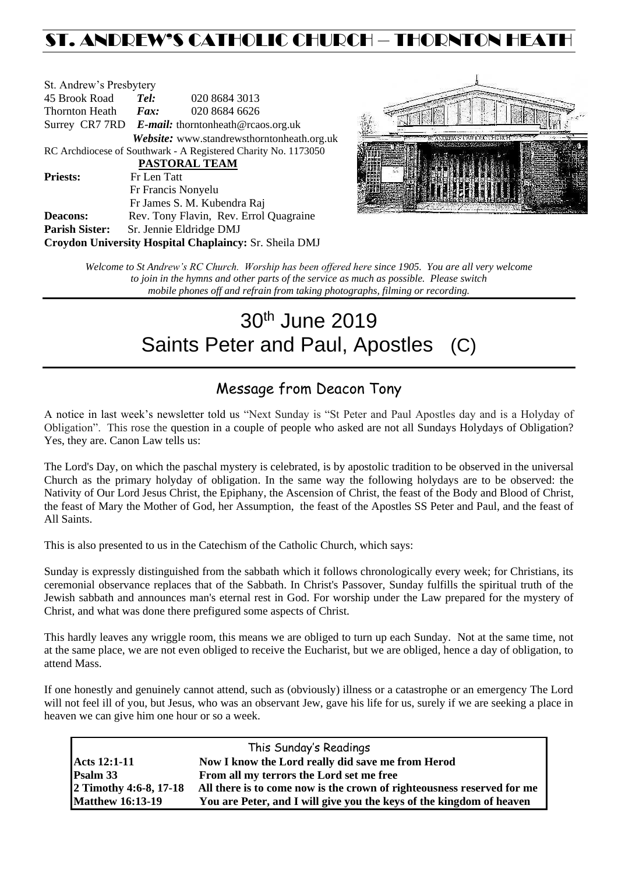## ST. ANDREW'S CATHOLIC CHURCH – THORNTON HEAT

| St. Andrew's Presbytery                                        |                                                   |                                            |  |  |  |
|----------------------------------------------------------------|---------------------------------------------------|--------------------------------------------|--|--|--|
| 45 Brook Road                                                  | Tel:                                              | 020 8684 3013                              |  |  |  |
| Thornton Heath                                                 | Fax:                                              | 020 8684 6626                              |  |  |  |
|                                                                | Surrey CR7 7RD E-mail: thorntonheath@rcaos.org.uk |                                            |  |  |  |
|                                                                |                                                   | Website: www.standrewsthorntonheath.org.uk |  |  |  |
| RC Archdiocese of Southwark - A Registered Charity No. 1173050 |                                                   |                                            |  |  |  |
|                                                                |                                                   | <b>PASTORAL TEAM</b>                       |  |  |  |
| <b>Priests:</b>                                                | Fr Len Tatt                                       |                                            |  |  |  |
|                                                                |                                                   | Fr Francis Nonyelu                         |  |  |  |
|                                                                |                                                   | Fr James S. M. Kubendra Raj                |  |  |  |
| <b>Deacons:</b>                                                |                                                   | Rev. Tony Flavin, Rev. Errol Quagraine     |  |  |  |
| <b>Parish Sister:</b>                                          |                                                   | Sr. Jennie Eldridge DMJ                    |  |  |  |
| Croydon University Hospital Chaplaincy: Sr. Sheila DMJ         |                                                   |                                            |  |  |  |



*Welcome to St Andrew's RC Church. Worship has been offered here since 1905. You are all very welcome to join in the hymns and other parts of the service as much as possible. Please switch mobile phones off and refrain from taking photographs, filming or recording.*

# 30<sup>th</sup> June 2019 Saints Peter and Paul, Apostles (C)

## Message from Deacon Tony

A notice in last week's newsletter told us "Next Sunday is "St Peter and Paul Apostles day and is a Holyday of Obligation". This rose the question in a couple of people who asked are not all Sundays Holydays of Obligation? Yes, they are. Canon Law tells us:

The [Lord's](http://www.intratext.com/IXT/ENG0017/HG.HTM) [Day,](http://www.intratext.com/IXT/ENG0017/84.HTM) on which the [paschal](http://www.intratext.com/IXT/ENG0017/1/JU.HTM) [mystery](http://www.intratext.com/IXT/ENG0017/TZ.HTM) is [celebrated,](http://www.intratext.com/IXT/ENG0017/8D.HTM) is by [apostolic](http://www.intratext.com/IXT/ENG0017/1N.HTM) [tradition](http://www.intratext.com/IXT/ENG0017/XI.HTM) to be [observed](http://www.intratext.com/IXT/ENG0017/3Z.HTM) in the [universal](http://www.intratext.com/IXT/ENG0017/60.HTM) [Church](http://www.intratext.com/IXT/ENG0017/V.HTM) as the [primary](http://www.intratext.com/IXT/ENG0017/1/SN.HTM) [holyday](http://www.intratext.com/IXT/ENG0017/1/9Q.HTM) of [obligation.](http://www.intratext.com/IXT/ENG0017/4P.HTM) In the same [way](http://www.intratext.com/IXT/ENG0017/3P.HTM) the [following](http://www.intratext.com/IXT/ENG0017/7F.HTM) [holydays](http://www.intratext.com/IXT/ENG0017/WD.HTM) are to be [observed:](http://www.intratext.com/IXT/ENG0017/3Z.HTM) the Nativity of Our [Lord](http://www.intratext.com/IXT/ENG0017/HG.HTM) [Jesus](http://www.intratext.com/IXT/ENG0017/2/AZ.HTM) [Christ,](http://www.intratext.com/IXT/ENG0017/20.HTM) the Epiphany, the Ascension of [Christ,](http://www.intratext.com/IXT/ENG0017/20.HTM) th[e feast](http://www.intratext.com/IXT/ENG0017/1/5U.HTM) of the [Body](http://www.intratext.com/IXT/ENG0017/JD.HTM) and [Blood](http://www.intratext.com/IXT/ENG0017/1/B6.HTM) of [Christ,](http://www.intratext.com/IXT/ENG0017/20.HTM) the [feast](http://www.intratext.com/IXT/ENG0017/1/5U.HTM) of [Mary](http://www.intratext.com/IXT/ENG0017/1/UB.HTM) the [Mother](http://www.intratext.com/IXT/ENG0017/YC.HTM) of [God,](http://www.intratext.com/IXT/ENG0017/44.HTM) her Assumption, the [feast](http://www.intratext.com/IXT/ENG0017/1/5U.HTM) of the [Apostles](http://www.intratext.com/IXT/ENG0017/1/BF.HTM) SS [Peter](http://www.intratext.com/IXT/ENG0017/1/V.HTM) and [Paul,](http://www.intratext.com/IXT/ENG0017/2/94.HTM) and the [feast](http://www.intratext.com/IXT/ENG0017/1/5U.HTM) of All [Saints.](http://www.intratext.com/IXT/ENG0017/1/3P.HTM)

This is also presented to us in the Catechism of the Catholic Church, which says:

Sunday is expressly distinguished from the sabbath which it follows chronologically every week; for Christians, its ceremonial observance replaces that of the Sabbath. In Christ's Passover, Sunday fulfills the spiritual truth of the Jewish sabbath and announces man's eternal rest in God. For worship under the Law prepared for the mystery of Christ, and what was done there prefigured some aspects of Christ.

This hardly leaves any wriggle room, this means we are obliged to turn up each Sunday. Not at the same time, not at the same place, we are not even obliged to receive the Eucharist, but we are obliged, hence a day of obligation, to attend Mass.

If one honestly and genuinely cannot attend, such as (obviously) illness or a catastrophe or an emergency The Lord will not feel ill of you, but Jesus, who was an observant Jew, gave his life for us, surely if we are seeking a place in heaven we can give him one hour or so a week.

| This Sunday's Readings  |                                                                        |  |  |  |
|-------------------------|------------------------------------------------------------------------|--|--|--|
| <b>Acts 12:1-11</b>     | Now I know the Lord really did save me from Herod                      |  |  |  |
| <b>Psalm 33</b>         | From all my terrors the Lord set me free                               |  |  |  |
| 2 Timothy 4:6-8, 17-18  | All there is to come now is the crown of righteousness reserved for me |  |  |  |
| <b>Matthew 16:13-19</b> | You are Peter, and I will give you the keys of the kingdom of heaven   |  |  |  |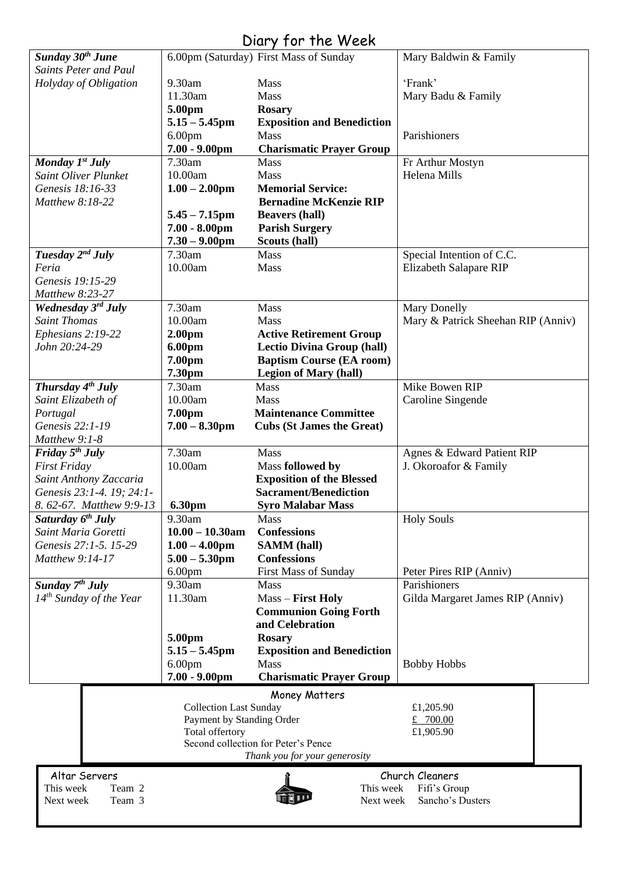|                                                  |                                                            | Diary for the Week                     |                                    |  |
|--------------------------------------------------|------------------------------------------------------------|----------------------------------------|------------------------------------|--|
| Sunday 30 <sup>th</sup> June                     |                                                            | 6.00pm (Saturday) First Mass of Sunday | Mary Baldwin & Family              |  |
| <b>Saints Peter and Paul</b>                     |                                                            |                                        |                                    |  |
| Holyday of Obligation                            | 9.30am                                                     | Mass                                   | 'Frank'                            |  |
|                                                  | 11.30am                                                    | Mass                                   | Mary Badu & Family                 |  |
|                                                  | 5.00pm                                                     | <b>Rosary</b>                          |                                    |  |
|                                                  | $5.15 - 5.45$ pm                                           | <b>Exposition and Benediction</b>      |                                    |  |
|                                                  | 6.00 <sub>pm</sub>                                         | <b>Mass</b>                            | Parishioners                       |  |
|                                                  | $7.00 - 9.00$ pm                                           | <b>Charismatic Prayer Group</b>        |                                    |  |
| Monday $I^{st}$ July                             | 7.30am                                                     | <b>Mass</b>                            | Fr Arthur Mostyn                   |  |
| <b>Saint Oliver Plunket</b>                      | 10.00am                                                    | Mass                                   | Helena Mills                       |  |
| Genesis 18:16-33                                 |                                                            | <b>Memorial Service:</b>               |                                    |  |
|                                                  | $1.00 - 2.00$ pm                                           |                                        |                                    |  |
| Matthew 8:18-22                                  |                                                            | <b>Bernadine McKenzie RIP</b>          |                                    |  |
|                                                  | $5.45 - 7.15$ pm                                           | <b>Beavers (hall)</b>                  |                                    |  |
|                                                  | $7.00 - 8.00$ pm                                           | <b>Parish Surgery</b>                  |                                    |  |
|                                                  | $7.30 - 9.00$ pm                                           | Scouts (hall)                          |                                    |  |
| Tuesday 2 <sup>nd</sup> July                     | 7.30am                                                     | Mass                                   | Special Intention of C.C.          |  |
| Feria                                            | 10.00am                                                    | Mass                                   | Elizabeth Salapare RIP             |  |
| Genesis 19:15-29                                 |                                                            |                                        |                                    |  |
| Matthew 8:23-27                                  |                                                            |                                        |                                    |  |
| Wednesday 3rd July                               | 7.30am                                                     | Mass                                   | <b>Mary Donelly</b>                |  |
| <b>Saint Thomas</b>                              | 10.00am                                                    | <b>Mass</b>                            | Mary & Patrick Sheehan RIP (Anniv) |  |
| Ephesians 2:19-22                                | 2.00 <sub>pm</sub>                                         | <b>Active Retirement Group</b>         |                                    |  |
| John 20:24-29                                    | 6.00pm                                                     | <b>Lectio Divina Group (hall)</b>      |                                    |  |
|                                                  | 7.00pm                                                     | <b>Baptism Course (EA room)</b>        |                                    |  |
|                                                  | 7.30pm                                                     | <b>Legion of Mary (hall)</b>           |                                    |  |
| Thursday $4^{th}$ July                           | 7.30am                                                     | <b>Mass</b>                            | Mike Bowen RIP                     |  |
| Saint Elizabeth of                               | 10.00am                                                    | <b>Mass</b>                            | Caroline Singende                  |  |
| Portugal                                         | 7.00pm                                                     | <b>Maintenance Committee</b>           |                                    |  |
| Genesis 22:1-19                                  | $7.00 - 8.30$ pm                                           | <b>Cubs (St James the Great)</b>       |                                    |  |
| Matthew 9:1-8                                    |                                                            |                                        |                                    |  |
| Friday $5th$ July                                | 7.30am                                                     | Mass                                   | Agnes & Edward Patient RIP         |  |
| <b>First Friday</b>                              | 10.00am                                                    |                                        |                                    |  |
|                                                  |                                                            | Mass followed by                       | J. Okoroafor & Family              |  |
| Saint Anthony Zaccaria                           |                                                            | <b>Exposition of the Blessed</b>       |                                    |  |
| Genesis 23:1-4. 19: 24:1-                        |                                                            | <b>Sacrament/Benediction</b>           |                                    |  |
| 8. 62-67. Matthew 9:9-13                         | 6.30pm                                                     | <b>Syro Malabar Mass</b>               |                                    |  |
| Saturday 6 <sup>th</sup> July                    | 9.30am                                                     | Mass                                   | <b>Holy Souls</b>                  |  |
| Saint Maria Goretti                              | $10.00 - 10.30$ am                                         | <b>Confessions</b>                     |                                    |  |
| Genesis 27:1-5. 15-29                            | $1.00 - 4.00$ pm                                           | <b>SAMM</b> (hall)                     |                                    |  |
| Matthew 9:14-17                                  | $5.00 - 5.30$ pm                                           | <b>Confessions</b>                     |                                    |  |
|                                                  | 6.00 <sub>pm</sub>                                         | <b>First Mass of Sunday</b>            | Peter Pires RIP (Anniv)            |  |
| Sunday 7 <sup>th</sup> July                      | 9.30am                                                     | Mass                                   | Parishioners                       |  |
| $14^{th}$ Sunday of the Year                     | 11.30am                                                    | Mass - First Holy                      | Gilda Margaret James RIP (Anniv)   |  |
|                                                  |                                                            | <b>Communion Going Forth</b>           |                                    |  |
|                                                  |                                                            | and Celebration                        |                                    |  |
|                                                  | 5.00pm                                                     | <b>Rosary</b>                          |                                    |  |
|                                                  | $5.15 - 5.45$ pm                                           | <b>Exposition and Benediction</b>      |                                    |  |
|                                                  | 6.00 <sub>pm</sub>                                         | <b>Mass</b>                            | <b>Bobby Hobbs</b>                 |  |
|                                                  | $7.00 - 9.00$ pm                                           | <b>Charismatic Prayer Group</b>        |                                    |  |
|                                                  |                                                            |                                        |                                    |  |
|                                                  |                                                            | Money Matters                          |                                    |  |
|                                                  | <b>Collection Last Sunday</b><br>Payment by Standing Order |                                        | £1,205.90<br>£ 700.00              |  |
|                                                  | Total offertory                                            |                                        | £1,905.90                          |  |
| Second collection for Peter's Pence              |                                                            |                                        |                                    |  |
|                                                  |                                                            | Thank you for your generosity          |                                    |  |
|                                                  |                                                            |                                        |                                    |  |
| Altar Servers<br>Church Cleaners                 |                                                            |                                        |                                    |  |
| This week<br>Team 2<br>This week<br>Fifi's Group |                                                            |                                        |                                    |  |
| Team 3<br>Next week                              |                                                            | Next week                              | Sancho's Dusters                   |  |
|                                                  |                                                            |                                        |                                    |  |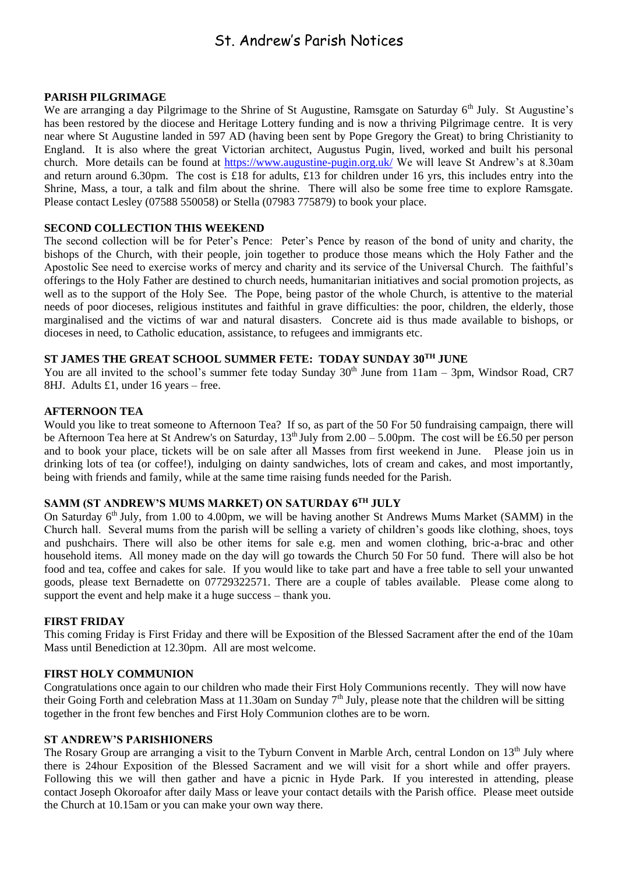### St. Andrew's Parish Notices

#### **PARISH PILGRIMAGE**

We are arranging a day Pilgrimage to the Shrine of St Augustine, Ramsgate on Saturday 6<sup>th</sup> July. St Augustine's has been restored by the diocese and Heritage Lottery funding and is now a thriving Pilgrimage centre. It is very near where St Augustine landed in 597 AD (having been sent by Pope Gregory the Great) to bring Christianity to England. It is also where the great Victorian architect, Augustus Pugin, lived, worked and built his personal church. More details can be found at<https://www.augustine-pugin.org.uk/> We will leave St Andrew's at 8.30am and return around 6.30pm. The cost is £18 for adults, £13 for children under 16 yrs, this includes entry into the Shrine, Mass, a tour, a talk and film about the shrine. There will also be some free time to explore Ramsgate. Please contact Lesley (07588 550058) or Stella (07983 775879) to book your place.

#### **SECOND COLLECTION THIS WEEKEND**

The second collection will be for Peter's Pence: Peter's Pence by reason of the bond of unity and charity, the bishops of the Church, with their people, join together to produce those means which the Holy Father and the Apostolic See need to exercise works of mercy and charity and its service of the Universal Church. The faithful's offerings to the Holy Father are destined to church needs, humanitarian initiatives and social promotion projects, as well as to the support of the Holy See. The Pope, being pastor of the whole Church, is attentive to the material needs of poor dioceses, religious institutes and faithful in grave difficulties: the poor, children, the elderly, those marginalised and the victims of war and natural disasters. Concrete aid is thus made available to bishops, or dioceses in need, to Catholic education, assistance, to refugees and immigrants etc.

#### **ST JAMES THE GREAT SCHOOL SUMMER FETE: TODAY SUNDAY 30TH JUNE**

You are all invited to the school's summer fete today Sunday  $30<sup>th</sup>$  June from 11am – 3pm, Windsor Road, CR7 8HJ. Adults £1, under 16 years – free.

#### **AFTERNOON TEA**

Would you like to treat someone to Afternoon Tea? If so, as part of the 50 For 50 fundraising campaign, there will be Afternoon Tea here at St Andrew's on Saturday,  $13<sup>th</sup>$  July from  $2.00 - 5.00$  pm. The cost will be £6.50 per person and to book your place, tickets will be on sale after all Masses from first weekend in June. Please join us in drinking lots of tea (or coffee!), indulging on dainty sandwiches, lots of cream and cakes, and most importantly, being with friends and family, while at the same time raising funds needed for the Parish.

#### **SAMM (ST ANDREW'S MUMS MARKET) ON SATURDAY 6TH JULY**

On Saturday 6th July, from 1.00 to 4.00pm, we will be having another St Andrews Mums Market (SAMM) in the Church hall. Several mums from the parish will be selling a variety of children's goods like clothing, shoes, toys and pushchairs. There will also be other items for sale e.g. men and women clothing, bric-a-brac and other household items. All money made on the day will go towards the Church 50 For 50 fund. There will also be hot food and tea, coffee and cakes for sale. If you would like to take part and have a free table to sell your unwanted goods, please text Bernadette on 07729322571. There are a couple of tables available. Please come along to support the event and help make it a huge success – thank you.

#### **FIRST FRIDAY**

This coming Friday is First Friday and there will be Exposition of the Blessed Sacrament after the end of the 10am Mass until Benediction at 12.30pm. All are most welcome.

#### **FIRST HOLY COMMUNION**

Congratulations once again to our children who made their First Holy Communions recently. They will now have their Going Forth and celebration Mass at 11.30am on Sunday 7<sup>th</sup> July, please note that the children will be sitting together in the front few benches and First Holy Communion clothes are to be worn.

#### **ST ANDREW'S PARISHIONERS**

The Rosary Group are arranging a visit to the Tyburn Convent in Marble Arch, central London on 13<sup>th</sup> July where there is 24hour Exposition of the Blessed Sacrament and we will visit for a short while and offer prayers. Following this we will then gather and have a picnic in Hyde Park. If you interested in attending, please contact Joseph Okoroafor after daily Mass or leave your contact details with the Parish office. Please meet outside the Church at 10.15am or you can make your own way there.